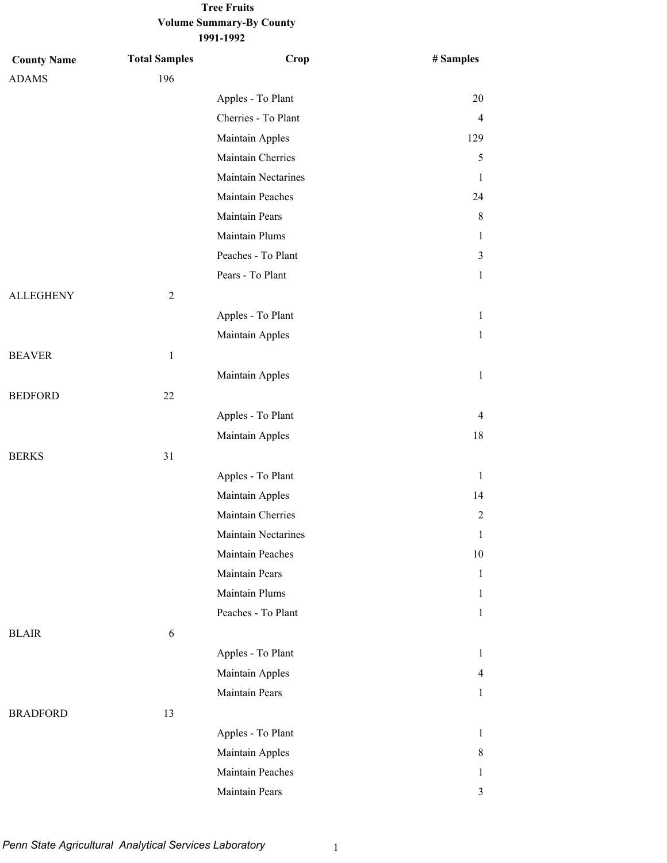## **Volume Summary-By County Tree Fruits**

**1991-1992**

| <b>County Name</b> | <b>Total Samples</b> | Crop                | # Samples      |
|--------------------|----------------------|---------------------|----------------|
| <b>ADAMS</b>       | 196                  |                     |                |
|                    |                      | Apples - To Plant   | 20             |
|                    |                      | Cherries - To Plant | $\overline{4}$ |
|                    |                      | Maintain Apples     | 129            |
|                    |                      | Maintain Cherries   | 5              |
|                    |                      | Maintain Nectarines | 1              |
|                    |                      | Maintain Peaches    | 24             |
|                    |                      | Maintain Pears      | 8              |
|                    |                      | Maintain Plums      | $\mathbf{1}$   |
|                    |                      | Peaches - To Plant  | 3              |
|                    |                      | Pears - To Plant    | $\mathbf{1}$   |
| <b>ALLEGHENY</b>   | $\overline{2}$       |                     |                |
|                    |                      | Apples - To Plant   | 1              |
|                    |                      | Maintain Apples     | $\mathbf{1}$   |
| <b>BEAVER</b>      | $\,1$                |                     |                |
|                    |                      | Maintain Apples     | $\mathbf{1}$   |
| <b>BEDFORD</b>     | 22                   |                     |                |
|                    |                      | Apples - To Plant   | 4              |
|                    |                      | Maintain Apples     | 18             |
| <b>BERKS</b>       | 31                   |                     |                |
|                    |                      | Apples - To Plant   | 1              |
|                    |                      | Maintain Apples     | 14             |
|                    |                      | Maintain Cherries   | $\overline{2}$ |
|                    |                      | Maintain Nectarines | $\mathbf 1$    |
|                    |                      | Maintain Peaches    | 10             |
|                    |                      | Maintain Pears      | 1              |
|                    |                      | Maintain Plums      | 1              |
|                    |                      | Peaches - To Plant  | $\mathbf{1}$   |
| <b>BLAIR</b>       | 6                    |                     |                |
|                    |                      | Apples - To Plant   | 1              |
|                    |                      | Maintain Apples     | 4              |
|                    |                      | Maintain Pears      | 1              |
| <b>BRADFORD</b>    | 13                   |                     |                |
|                    |                      | Apples - To Plant   | 1              |
|                    |                      | Maintain Apples     | 8              |
|                    |                      | Maintain Peaches    | 1              |
|                    |                      | Maintain Pears      | $\mathfrak{Z}$ |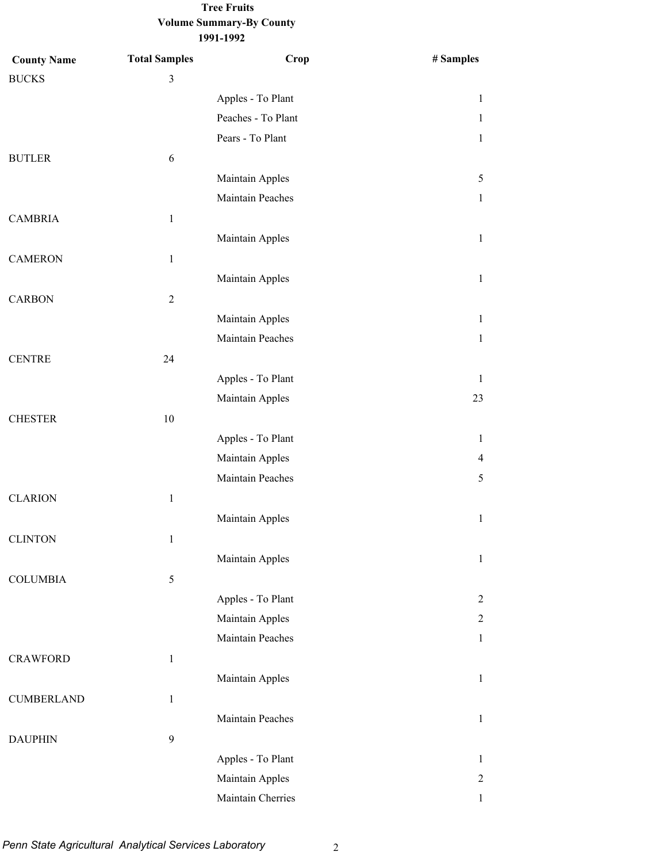#### **Volume Summary-By County 1991-1992 Tree Fruits**

| <b>County Name</b> | <b>Total Samples</b>    | Crop               | # Samples      |
|--------------------|-------------------------|--------------------|----------------|
| <b>BUCKS</b>       | $\overline{\mathbf{3}}$ |                    |                |
|                    |                         | Apples - To Plant  | 1              |
|                    |                         | Peaches - To Plant | 1              |
|                    |                         | Pears - To Plant   | 1              |
| <b>BUTLER</b>      | 6                       |                    |                |
|                    |                         | Maintain Apples    | 5              |
|                    |                         | Maintain Peaches   | 1              |
| <b>CAMBRIA</b>     | $\mathbf{1}$            |                    |                |
|                    |                         | Maintain Apples    | 1              |
| <b>CAMERON</b>     | $\mathbf{1}$            |                    |                |
|                    |                         | Maintain Apples    | 1              |
| <b>CARBON</b>      | $\sqrt{2}$              |                    |                |
|                    |                         | Maintain Apples    | $\mathbf{1}$   |
|                    |                         | Maintain Peaches   | $\mathbf{1}$   |
| <b>CENTRE</b>      | 24                      |                    |                |
|                    |                         | Apples - To Plant  | 1              |
|                    |                         | Maintain Apples    | 23             |
| <b>CHESTER</b>     | $10\,$                  |                    |                |
|                    |                         | Apples - To Plant  | 1              |
|                    |                         | Maintain Apples    | 4              |
|                    |                         | Maintain Peaches   | 5              |
| <b>CLARION</b>     | $\mathbf{1}$            |                    |                |
|                    |                         | Maintain Apples    | $\mathbf{1}$   |
| <b>CLINTON</b>     | 1                       |                    |                |
|                    |                         | Maintain Apples    | 1              |
| <b>COLUMBIA</b>    | 5                       |                    |                |
|                    |                         | Apples - To Plant  | 2              |
|                    |                         | Maintain Apples    | $\overline{c}$ |
|                    |                         | Maintain Peaches   | 1              |
| <b>CRAWFORD</b>    | $\,1\,$                 |                    |                |
|                    |                         | Maintain Apples    | $\mathbf{1}$   |
| <b>CUMBERLAND</b>  | $\mathbf{1}$            |                    |                |
|                    |                         | Maintain Peaches   | 1              |
| <b>DAUPHIN</b>     | 9                       |                    |                |
|                    |                         | Apples - To Plant  | 1              |
|                    |                         | Maintain Apples    | $\overline{c}$ |
|                    |                         | Maintain Cherries  | 1              |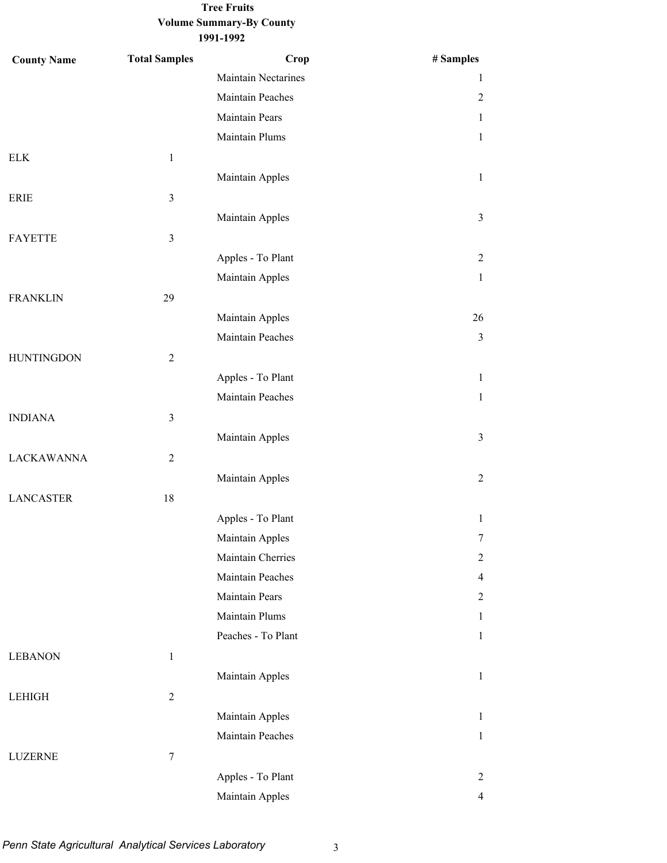### **Volume Summary-By County Tree Fruits**

| <b>County Name</b> | <b>Total Samples</b> | Crop                | # Samples      |
|--------------------|----------------------|---------------------|----------------|
|                    |                      | Maintain Nectarines | 1              |
|                    |                      | Maintain Peaches    | $\overline{2}$ |
|                    |                      | Maintain Pears      | $\mathbf{1}$   |
|                    |                      | Maintain Plums      | $\mathbf{1}$   |
| <b>ELK</b>         | $\,1$                |                     |                |
|                    |                      | Maintain Apples     | $\mathbf{1}$   |
| <b>ERIE</b>        | $\mathfrak{Z}$       |                     |                |
|                    |                      | Maintain Apples     | $\mathfrak{Z}$ |
| <b>FAYETTE</b>     | $\mathfrak{Z}$       |                     |                |
|                    |                      | Apples - To Plant   | $\overline{2}$ |
|                    |                      | Maintain Apples     | $\mathbf{1}$   |
| <b>FRANKLIN</b>    | 29                   |                     |                |
|                    |                      | Maintain Apples     | 26             |
|                    |                      | Maintain Peaches    | $\mathfrak{Z}$ |
| <b>HUNTINGDON</b>  | $\overline{2}$       |                     |                |
|                    |                      | Apples - To Plant   | $\mathbf{1}$   |
|                    |                      | Maintain Peaches    | $\mathbf{1}$   |
| <b>INDIANA</b>     | $\mathfrak{Z}$       |                     |                |
|                    |                      | Maintain Apples     | $\mathfrak{Z}$ |
| <b>LACKAWANNA</b>  | $\overline{2}$       |                     |                |
|                    |                      | Maintain Apples     | $\overline{2}$ |
| <b>LANCASTER</b>   | 18                   |                     |                |
|                    |                      | Apples - To Plant   | $\mathbf{1}$   |
|                    |                      | Maintain Apples     | $\tau$         |
|                    |                      | Maintain Cherries   | $\overline{2}$ |
|                    |                      | Maintain Peaches    | $\overline{4}$ |
|                    |                      | Maintain Pears      | $\overline{2}$ |
|                    |                      | Maintain Plums      | $\mathbf{1}$   |
|                    |                      | Peaches - To Plant  | $\mathbf{1}$   |
| <b>LEBANON</b>     | $\mathbf{1}$         |                     |                |
|                    |                      | Maintain Apples     | $\mathbf{1}$   |
| <b>LEHIGH</b>      | $\overline{2}$       |                     |                |
|                    |                      | Maintain Apples     | $\mathbf{1}$   |
|                    |                      | Maintain Peaches    | $\mathbf{1}$   |
| <b>LUZERNE</b>     | $\boldsymbol{7}$     |                     |                |
|                    |                      | Apples - To Plant   | $\overline{2}$ |
|                    |                      | Maintain Apples     | $\overline{4}$ |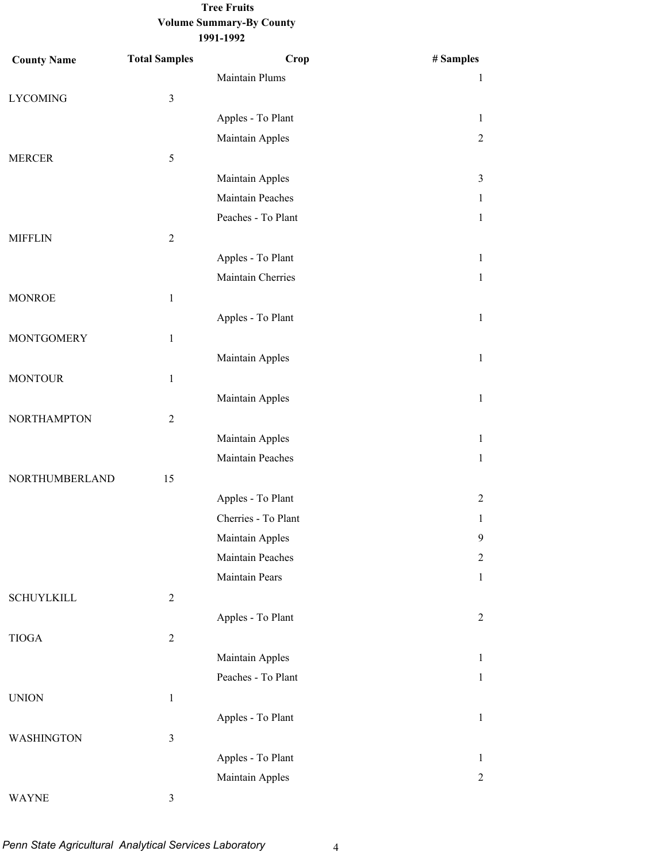## **Volume Summary-By County Tree Fruits**

**County Name Total Samples 1991-1992 Crop # Samples** Maintain Plums 1 LYCOMING 3 Apples - To Plant 1 Maintain Apples 2 MERCER 5 Maintain Apples 3 Maintain Peaches 1 Peaches - To Plant 1 MIFFLIN 2 Apples - To Plant 1 Maintain Cherries 1 MONROE 1 Apples - To Plant 1 MONTGOMERY 1 Maintain Apples 1 MONTOUR<sub>1</sub> Maintain Apples 1 NORTHAMPTON 2 Maintain Apples 1 Maintain Peaches 1 NORTHUMBERLAND 15 Apples - To Plant 2 Cherries - To Plant 1 Maintain Apples 9 Maintain Peaches 2 Maintain Pears 1 SCHUYLKILL 2 Apples - To Plant 2 TIOGA 2 Maintain Apples 1

# WAYNE 3

UNION 1

WASHINGTON 3

Peaches - To Plant 1

Apples - To Plant 1

Apples - To Plant 1 Maintain Apples 2